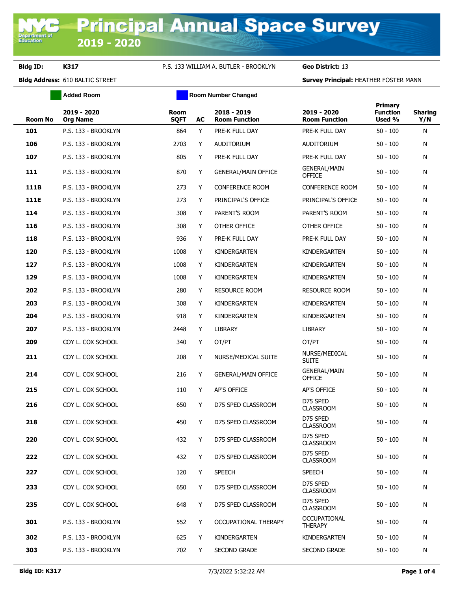**Department of**<br>Education

## **Bldg ID: K317** P.S. 133 WILLIAM A. BUTLER - BROOKLYN **Geo District:** 13

**Bldg Address:** 610 BALTIC STREET **Survey Principal:** HEATHER FOSTER MANN

|         | <b>Added Room</b>              |                     | <b>Room Number Changed</b> |                                     |                                      |                                      |                       |
|---------|--------------------------------|---------------------|----------------------------|-------------------------------------|--------------------------------------|--------------------------------------|-----------------------|
| Room No | 2019 - 2020<br><b>Org Name</b> | Room<br><b>SQFT</b> | AC                         | 2018 - 2019<br><b>Room Function</b> | 2019 - 2020<br><b>Room Function</b>  | Primary<br><b>Function</b><br>Used % | <b>Sharing</b><br>Y/N |
| 101     | P.S. 133 - BROOKLYN            | 864                 | Y                          | PRE-K FULL DAY                      | PRE-K FULL DAY                       | $50 - 100$                           | N                     |
| 106     | P.S. 133 - BROOKLYN            | 2703                | Y                          | <b>AUDITORIUM</b>                   | <b>AUDITORIUM</b>                    | $50 - 100$                           | N                     |
| 107     | P.S. 133 - BROOKLYN            | 805                 | Y                          | PRE-K FULL DAY                      | PRE-K FULL DAY                       | $50 - 100$                           | N                     |
| 111     | P.S. 133 - BROOKLYN            | 870                 | Y                          | <b>GENERAL/MAIN OFFICE</b>          | <b>GENERAL/MAIN</b><br><b>OFFICE</b> | 50 - 100                             | N                     |
| 111B    | P.S. 133 - BROOKLYN            | 273                 | Y                          | <b>CONFERENCE ROOM</b>              | <b>CONFERENCE ROOM</b>               | $50 - 100$                           | N                     |
| 111E    | P.S. 133 - BROOKLYN            | 273                 | Y                          | PRINCIPAL'S OFFICE                  | PRINCIPAL'S OFFICE                   | $50 - 100$                           | N                     |
| 114     | P.S. 133 - BROOKLYN            | 308                 | Y                          | PARENT'S ROOM                       | PARENT'S ROOM                        | 50 - 100                             | N                     |
| 116     | P.S. 133 - BROOKLYN            | 308                 | Y                          | OTHER OFFICE                        | OTHER OFFICE                         | 50 - 100                             | N                     |
| 118     | P.S. 133 - BROOKLYN            | 936                 | Y                          | PRE-K FULL DAY                      | PRE-K FULL DAY                       | 50 - 100                             | N                     |
| 120     | P.S. 133 - BROOKLYN            | 1008                | Y                          | KINDERGARTEN                        | KINDERGARTEN                         | 50 - 100                             | N                     |
| 127     | P.S. 133 - BROOKLYN            | 1008                | Y                          | KINDERGARTEN                        | KINDERGARTEN                         | $50 - 100$                           | N                     |
| 129     | P.S. 133 - BROOKLYN            | 1008                | Y                          | KINDERGARTEN                        | KINDERGARTEN                         | 50 - 100                             | N                     |
| 202     | P.S. 133 - BROOKLYN            | 280                 | Y                          | <b>RESOURCE ROOM</b>                | <b>RESOURCE ROOM</b>                 | $50 - 100$                           | N                     |
| 203     | P.S. 133 - BROOKLYN            | 308                 | Y                          | KINDERGARTEN                        | KINDERGARTEN                         | $50 - 100$                           | N                     |
| 204     | P.S. 133 - BROOKLYN            | 918                 | Y                          | KINDERGARTEN                        | KINDERGARTEN                         | $50 - 100$                           | N                     |
| 207     | P.S. 133 - BROOKLYN            | 2448                | Y                          | <b>LIBRARY</b>                      | LIBRARY                              | $50 - 100$                           | N                     |
| 209     | COY L. COX SCHOOL              | 340                 | Y                          | OT/PT                               | OT/PT                                | $50 - 100$                           | N                     |
| 211     | COY L. COX SCHOOL              | 208                 | Y                          | NURSE/MEDICAL SUITE                 | NURSE/MEDICAL<br>Suite               | 50 - 100                             | N                     |
| 214     | COY L. COX SCHOOL              | 216                 | Y                          | <b>GENERAL/MAIN OFFICE</b>          | <b>GENERAL/MAIN</b><br><b>OFFICE</b> | 50 - 100                             | N                     |
| 215     | COY L. COX SCHOOL              | 110                 | Y                          | AP'S OFFICE                         | AP'S OFFICE                          | $50 - 100$                           | N                     |
| 216     | COY L. COX SCHOOL              | 650                 | Y                          | D75 SPED CLASSROOM                  | D75 SPED<br><b>CLASSROOM</b>         | $50 - 100$                           | N                     |
| 218     | COY L. COX SCHOOL              | 450                 | Y                          | D75 SPED CLASSROOM                  | D75 SPED<br><b>CLASSROOM</b>         | $50 - 100$                           | N                     |
| 220     | COY L. COX SCHOOL              | 432                 | Y                          | D75 SPED CLASSROOM                  | D75 SPED<br><b>CLASSROOM</b>         | $50 - 100$                           | N                     |
| 222     | COY L. COX SCHOOL              | 432                 | Y                          | D75 SPED CLASSROOM                  | D75 SPED<br><b>CLASSROOM</b>         | $50 - 100$                           | N                     |
| 227     | COY L. COX SCHOOL              | 120                 | Y                          | <b>SPEECH</b>                       | <b>SPEECH</b>                        | $50 - 100$                           | N                     |
| 233     | COY L. COX SCHOOL              | 650                 | Y                          | D75 SPED CLASSROOM                  | D75 SPED<br><b>CLASSROOM</b>         | $50 - 100$                           | N                     |
| 235     | COY L. COX SCHOOL              | 648                 | Y                          | D75 SPED CLASSROOM                  | D75 SPED<br><b>CLASSROOM</b>         | $50 - 100$                           | N                     |
| 301     | P.S. 133 - BROOKLYN            | 552                 | Y                          | OCCUPATIONAL THERAPY                | <b>OCCUPATIONAL</b><br>THERAPY       | $50 - 100$                           | N                     |
| 302     | P.S. 133 - BROOKLYN            | 625                 | Y                          | KINDERGARTEN                        | KINDERGARTEN                         | $50 - 100$                           | N                     |
| 303     | P.S. 133 - BROOKLYN            | 702                 | Y                          | <b>SECOND GRADE</b>                 | SECOND GRADE                         | $50 - 100$                           | N                     |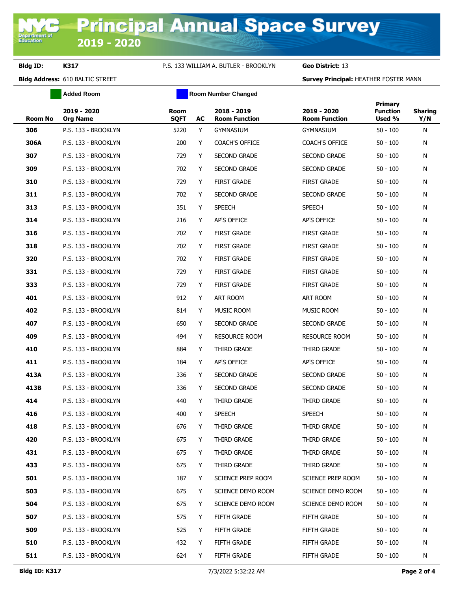# **Bldg ID: K317** P.S. 133 WILLIAM A. BUTLER - BROOKLYN **Geo District:** 13

**Bldg Address:** 610 BALTIC STREET **Survey Principal:** HEATHER FOSTER MANN

|                | <b>Added Room</b>              | <b>Room Number Changed</b> |    |                                     |                                     |                                      |                       |  |
|----------------|--------------------------------|----------------------------|----|-------------------------------------|-------------------------------------|--------------------------------------|-----------------------|--|
| <b>Room No</b> | 2019 - 2020<br><b>Org Name</b> | <b>Room</b><br><b>SQFT</b> | AC | 2018 - 2019<br><b>Room Function</b> | 2019 - 2020<br><b>Room Function</b> | Primary<br><b>Function</b><br>Used % | <b>Sharing</b><br>Y/N |  |
| 306            | P.S. 133 - BROOKLYN            | 5220                       | Y  | GYMNASIUM                           | <b>GYMNASIUM</b>                    | $50 - 100$                           | N                     |  |
| 306A           | P.S. 133 - BROOKLYN            | 200                        | Y  | <b>COACH'S OFFICE</b>               | <b>COACH'S OFFICE</b>               | $50 - 100$                           | N                     |  |
| 307            | P.S. 133 - BROOKLYN            | 729                        | Y  | <b>SECOND GRADE</b>                 | <b>SECOND GRADE</b>                 | $50 - 100$                           | N                     |  |
| 309            | P.S. 133 - BROOKLYN            | 702                        | Y  | <b>SECOND GRADE</b>                 | <b>SECOND GRADE</b>                 | $50 - 100$                           | N                     |  |
| 310            | P.S. 133 - BROOKLYN            | 729                        | Y  | <b>FIRST GRADE</b>                  | <b>FIRST GRADE</b>                  | $50 - 100$                           | N                     |  |
| 311            | P.S. 133 - BROOKLYN            | 702                        | Y  | <b>SECOND GRADE</b>                 | <b>SECOND GRADE</b>                 | $50 - 100$                           | N                     |  |
| 313            | P.S. 133 - BROOKLYN            | 351                        | Y  | <b>SPEECH</b>                       | <b>SPEECH</b>                       | $50 - 100$                           | N                     |  |
| 314            | P.S. 133 - BROOKLYN            | 216                        | Y  | AP'S OFFICE                         | <b>AP'S OFFICE</b>                  | $50 - 100$                           | N                     |  |
| 316            | P.S. 133 - BROOKLYN            | 702                        | Y  | <b>FIRST GRADE</b>                  | <b>FIRST GRADE</b>                  | $50 - 100$                           | N                     |  |
| 318            | P.S. 133 - BROOKLYN            | 702                        | Y  | <b>FIRST GRADE</b>                  | <b>FIRST GRADE</b>                  | $50 - 100$                           | N                     |  |
| 320            | P.S. 133 - BROOKLYN            | 702                        | Y  | <b>FIRST GRADE</b>                  | <b>FIRST GRADE</b>                  | $50 - 100$                           | N                     |  |
| 331            | P.S. 133 - BROOKLYN            | 729                        | Y  | <b>FIRST GRADE</b>                  | <b>FIRST GRADE</b>                  | $50 - 100$                           | N                     |  |
| 333            | P.S. 133 - BROOKLYN            | 729                        | Y  | <b>FIRST GRADE</b>                  | <b>FIRST GRADE</b>                  | $50 - 100$                           | N                     |  |
| 401            | P.S. 133 - BROOKLYN            | 912                        | Y  | <b>ART ROOM</b>                     | <b>ART ROOM</b>                     | $50 - 100$                           | N                     |  |
| 402            | P.S. 133 - BROOKLYN            | 814                        | Y  | MUSIC ROOM                          | <b>MUSIC ROOM</b>                   | $50 - 100$                           | N                     |  |
| 407            | P.S. 133 - BROOKLYN            | 650                        | Y  | <b>SECOND GRADE</b>                 | <b>SECOND GRADE</b>                 | $50 - 100$                           | N                     |  |
| 409            | P.S. 133 - BROOKLYN            | 494                        | Y  | <b>RESOURCE ROOM</b>                | <b>RESOURCE ROOM</b>                | $50 - 100$                           | N                     |  |
| 410            | P.S. 133 - BROOKLYN            | 884                        | Y  | THIRD GRADE                         | THIRD GRADE                         | $50 - 100$                           | N                     |  |
| 411            | P.S. 133 - BROOKLYN            | 184                        | Y  | AP'S OFFICE                         | AP'S OFFICE                         | $50 - 100$                           | N                     |  |
| 413A           | P.S. 133 - BROOKLYN            | 336                        | Y  | <b>SECOND GRADE</b>                 | <b>SECOND GRADE</b>                 | $50 - 100$                           | N                     |  |
| 413B           | P.S. 133 - BROOKLYN            | 336                        | Y  | <b>SECOND GRADE</b>                 | <b>SECOND GRADE</b>                 | $50 - 100$                           | N                     |  |
| 414            | P.S. 133 - BROOKLYN            | 440                        | Y  | THIRD GRADE                         | THIRD GRADE                         | $50 - 100$                           | N                     |  |
| 416            | P.S. 133 - BROOKLYN            | 400                        | Y  | <b>SPEECH</b>                       | <b>SPEECH</b>                       | $50 - 100$                           | N                     |  |
| 418            | P.S. 133 - BROOKLYN            | 676                        | Y  | THIRD GRADE                         | THIRD GRADE                         | 50 - 100                             | N                     |  |
| 420            | P.S. 133 - BROOKLYN            | 675                        | Y  | THIRD GRADE                         | THIRD GRADE                         | $50 - 100$                           | N                     |  |
| 431            | P.S. 133 - BROOKLYN            | 675                        | Y  | THIRD GRADE                         | THIRD GRADE                         | $50 - 100$                           | N                     |  |
| 433            | P.S. 133 - BROOKLYN            | 675                        | Y  | THIRD GRADE                         | THIRD GRADE                         | $50 - 100$                           | N                     |  |
| 501            | P.S. 133 - BROOKLYN            | 187                        | Y  | SCIENCE PREP ROOM                   | SCIENCE PREP ROOM                   | $50 - 100$                           | N                     |  |
| 503            | P.S. 133 - BROOKLYN            | 675                        | Y  | SCIENCE DEMO ROOM                   | SCIENCE DEMO ROOM                   | $50 - 100$                           | N                     |  |
| 504            | P.S. 133 - BROOKLYN            | 675                        | Y  | SCIENCE DEMO ROOM                   | SCIENCE DEMO ROOM                   | 50 - 100                             | N                     |  |
| 507            | P.S. 133 - BROOKLYN            | 575                        | Y  | <b>FIFTH GRADE</b>                  | <b>FIFTH GRADE</b>                  | $50 - 100$                           | N                     |  |
| 509            | P.S. 133 - BROOKLYN            | 525                        | Y  | FIFTH GRADE                         | <b>FIFTH GRADE</b>                  | $50 - 100$                           | N                     |  |
| 510            | P.S. 133 - BROOKLYN            | 432                        | Y  | FIFTH GRADE                         | FIFTH GRADE                         | $50 - 100$                           | N                     |  |
| 511            | P.S. 133 - BROOKLYN            | 624                        | Y  | FIFTH GRADE                         | FIFTH GRADE                         | $50 - 100$                           | N                     |  |
|                |                                |                            |    |                                     |                                     |                                      |                       |  |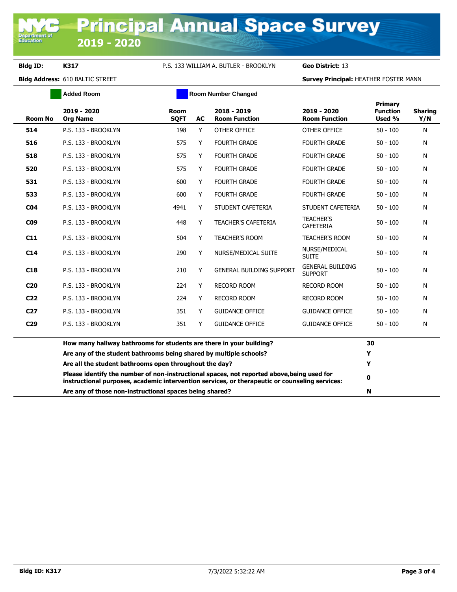Ē

## **Bldg ID: K317** P.S. 133 WILLIAM A. BUTLER - BROOKLYN **Geo District:** 13

**Bldg Address:** 610 BALTIC STREET **Survey Principal:** HEATHER FOSTER MANN

|                 | <b>Added Room</b>                                                   |                            |    | <b>Room Number Changed</b>                                                                                                                                                                   |                                           |                                      |                       |
|-----------------|---------------------------------------------------------------------|----------------------------|----|----------------------------------------------------------------------------------------------------------------------------------------------------------------------------------------------|-------------------------------------------|--------------------------------------|-----------------------|
| <b>Room No</b>  | 2019 - 2020<br><b>Org Name</b>                                      | <b>Room</b><br><b>SQFT</b> | AC | 2018 - 2019<br><b>Room Function</b>                                                                                                                                                          | 2019 - 2020<br><b>Room Function</b>       | Primary<br><b>Function</b><br>Used % | <b>Sharing</b><br>Y/N |
| 514             | P.S. 133 - BROOKLYN                                                 | 198                        | Y  | OTHER OFFICE                                                                                                                                                                                 | OTHER OFFICE                              | $50 - 100$                           | N                     |
| 516             | P.S. 133 - BROOKLYN                                                 | 575                        | Y  | <b>FOURTH GRADE</b>                                                                                                                                                                          | <b>FOURTH GRADE</b>                       | $50 - 100$                           | N                     |
| 518             | P.S. 133 - BROOKLYN                                                 | 575                        | Y  | <b>FOURTH GRADE</b>                                                                                                                                                                          | <b>FOURTH GRADE</b>                       | $50 - 100$                           | N                     |
| 520             | P.S. 133 - BROOKLYN                                                 | 575                        | Y  | <b>FOURTH GRADE</b>                                                                                                                                                                          | <b>FOURTH GRADE</b>                       | $50 - 100$                           | N                     |
| 531             | P.S. 133 - BROOKLYN                                                 | 600                        | Y  | <b>FOURTH GRADE</b>                                                                                                                                                                          | <b>FOURTH GRADE</b>                       | $50 - 100$                           | N                     |
| 533             | P.S. 133 - BROOKLYN                                                 | 600                        | Y  | <b>FOURTH GRADE</b>                                                                                                                                                                          | <b>FOURTH GRADE</b>                       | $50 - 100$                           | N                     |
| CO <sub>4</sub> | P.S. 133 - BROOKLYN                                                 | 4941                       | Y  | STUDENT CAFETERIA                                                                                                                                                                            | STUDENT CAFETERIA                         | $50 - 100$                           | N                     |
| <b>CO9</b>      | P.S. 133 - BROOKLYN                                                 | 448                        | Y  | <b>TEACHER'S CAFETERIA</b>                                                                                                                                                                   | <b>TEACHER'S</b><br><b>CAFETERIA</b>      | $50 - 100$                           | N                     |
| C11             | P.S. 133 - BROOKLYN                                                 | 504                        | Y  | <b>TEACHER'S ROOM</b>                                                                                                                                                                        | <b>TEACHER'S ROOM</b>                     | $50 - 100$                           | N                     |
| C14             | P.S. 133 - BROOKLYN                                                 | 290                        | Y  | NURSE/MEDICAL SUITE                                                                                                                                                                          | NURSE/MEDICAL<br><b>SUITE</b>             | $50 - 100$                           | N                     |
| C18             | P.S. 133 - BROOKLYN                                                 | 210                        | Y  | <b>GENERAL BUILDING SUPPORT</b>                                                                                                                                                              | <b>GENERAL BUILDING</b><br><b>SUPPORT</b> | $50 - 100$                           | N                     |
| C <sub>20</sub> | P.S. 133 - BROOKLYN                                                 | 224                        | Y  | <b>RECORD ROOM</b>                                                                                                                                                                           | <b>RECORD ROOM</b>                        | $50 - 100$                           | N                     |
| C <sub>22</sub> | P.S. 133 - BROOKLYN                                                 | 224                        | Y  | <b>RECORD ROOM</b>                                                                                                                                                                           | <b>RECORD ROOM</b>                        | $50 - 100$                           | N                     |
| C <sub>27</sub> | P.S. 133 - BROOKLYN                                                 | 351                        | Y  | <b>GUIDANCE OFFICE</b>                                                                                                                                                                       | <b>GUIDANCE OFFICE</b>                    | $50 - 100$                           | N                     |
| C <sub>29</sub> | P.S. 133 - BROOKLYN                                                 | 351                        | Y  | <b>GUIDANCE OFFICE</b>                                                                                                                                                                       | <b>GUIDANCE OFFICE</b>                    | $50 - 100$                           | N                     |
|                 | How many hallway bathrooms for students are there in your building? |                            |    |                                                                                                                                                                                              |                                           | 30                                   |                       |
|                 | Are any of the student bathrooms being shared by multiple schools?  |                            |    |                                                                                                                                                                                              |                                           | Y                                    |                       |
|                 | Are all the student bathrooms open throughout the day?              |                            |    |                                                                                                                                                                                              |                                           | Y                                    |                       |
|                 |                                                                     |                            |    | Please identify the number of non-instructional spaces, not reported above, being used for<br>instructional purposes, academic intervention services, or therapeutic or counseling services: |                                           | 0                                    |                       |

**Are any of those non-instructional spaces being shared? N**